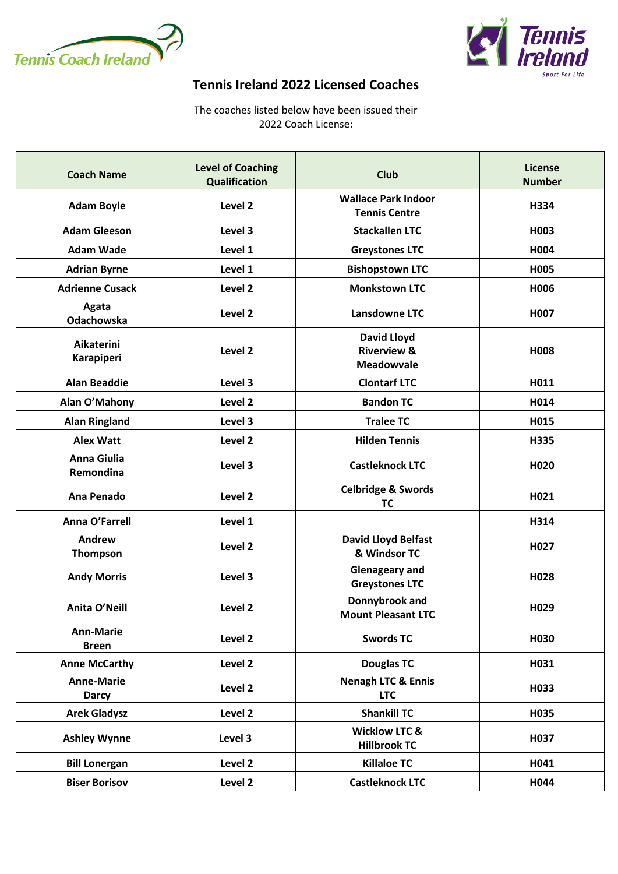



## **Tennis Ireland 2022 Licensed Coaches**

The coaches listed below have been issued their 2022 Coach License:

| <b>Coach Name</b>                 | <b>Level of Coaching</b><br><b>Qualification</b> | <b>Club</b>                                                       | License<br><b>Number</b> |
|-----------------------------------|--------------------------------------------------|-------------------------------------------------------------------|--------------------------|
| <b>Adam Boyle</b>                 | Level <sub>2</sub>                               | <b>Wallace Park Indoor</b><br><b>Tennis Centre</b>                | H334                     |
| <b>Adam Gleeson</b>               | Level 3                                          | <b>Stackallen LTC</b>                                             | H003                     |
| <b>Adam Wade</b>                  | Level 1                                          | <b>Greystones LTC</b>                                             | H004                     |
| <b>Adrian Byrne</b>               | Level 1                                          | <b>Bishopstown LTC</b>                                            | H005                     |
| <b>Adrienne Cusack</b>            | Level 2                                          | <b>Monkstown LTC</b>                                              | H006                     |
| Agata<br>Odachowska               | Level 2                                          | Lansdowne LTC                                                     | H007                     |
| Aikaterini<br>Karapiperi          | Level 2                                          | <b>David Lloyd</b><br><b>Riverview &amp;</b><br><b>Meadowvale</b> | H008                     |
| <b>Alan Beaddie</b>               | Level 3                                          | <b>Clontarf LTC</b>                                               | H011                     |
| Alan O'Mahony                     | Level 2                                          | <b>Bandon TC</b>                                                  | H014                     |
| <b>Alan Ringland</b>              | Level 3                                          | <b>Tralee TC</b>                                                  | H015                     |
| <b>Alex Watt</b>                  | Level 2                                          | <b>Hilden Tennis</b>                                              | H335                     |
| <b>Anna Giulia</b><br>Remondina   | Level 3                                          | <b>Castleknock LTC</b>                                            | H <sub>020</sub>         |
| Ana Penado                        | Level 2                                          | <b>Celbridge &amp; Swords</b><br><b>TC</b>                        | H021                     |
| Anna O'Farrell                    | Level 1                                          |                                                                   | H314                     |
| Andrew<br><b>Thompson</b>         | Level 2                                          | <b>David Lloyd Belfast</b><br>& Windsor TC                        | H027                     |
| <b>Andy Morris</b>                | Level 3                                          | <b>Glenageary and</b><br><b>Greystones LTC</b>                    | H028                     |
| Anita O'Neill                     | Level 2                                          | Donnybrook and<br><b>Mount Pleasant LTC</b>                       | H <sub>029</sub>         |
| <b>Ann-Marie</b><br><b>Breen</b>  | Level 2                                          | <b>Swords TC</b>                                                  | H030                     |
| <b>Anne McCarthy</b>              | Level 2                                          | <b>Douglas TC</b>                                                 | H031                     |
| <b>Anne-Marie</b><br><b>Darcy</b> | Level 2                                          | <b>Nenagh LTC &amp; Ennis</b><br><b>LTC</b>                       | H033                     |
| <b>Arek Gladysz</b>               | Level 2                                          | <b>Shankill TC</b>                                                | H035                     |
| <b>Ashley Wynne</b>               | Level 3                                          | <b>Wicklow LTC &amp;</b><br><b>Hillbrook TC</b>                   | H037                     |
| <b>Bill Lonergan</b>              | Level 2                                          | <b>Killaloe TC</b>                                                | H041                     |
| <b>Biser Borisov</b>              | Level 2                                          | <b>Castleknock LTC</b>                                            | H044                     |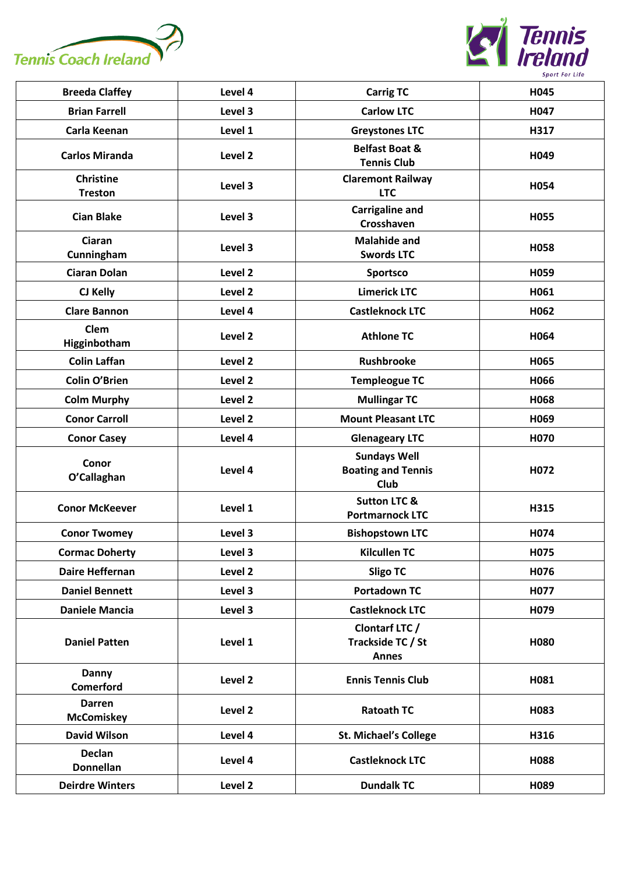



| <b>Breeda Claffey</b>              | Level 4 | <b>Carrig TC</b>                                         | H045 |
|------------------------------------|---------|----------------------------------------------------------|------|
| <b>Brian Farrell</b>               | Level 3 | <b>Carlow LTC</b>                                        | H047 |
| Carla Keenan                       | Level 1 | <b>Greystones LTC</b>                                    | H317 |
| <b>Carlos Miranda</b>              | Level 2 | <b>Belfast Boat &amp;</b><br><b>Tennis Club</b>          | H049 |
| <b>Christine</b><br><b>Treston</b> | Level 3 | <b>Claremont Railway</b><br><b>LTC</b>                   | H054 |
| <b>Cian Blake</b>                  | Level 3 | <b>Carrigaline and</b><br>Crosshaven                     | H055 |
| Ciaran<br>Cunningham               | Level 3 | <b>Malahide and</b><br><b>Swords LTC</b>                 | H058 |
| <b>Ciaran Dolan</b>                | Level 2 | Sportsco                                                 | H059 |
| CJ Kelly                           | Level 2 | <b>Limerick LTC</b>                                      | H061 |
| <b>Clare Bannon</b>                | Level 4 | <b>Castleknock LTC</b>                                   | H062 |
| Clem<br>Higginbotham               | Level 2 | <b>Athlone TC</b>                                        | H064 |
| <b>Colin Laffan</b>                | Level 2 | <b>Rushbrooke</b>                                        | H065 |
| <b>Colin O'Brien</b>               | Level 2 | <b>Templeogue TC</b>                                     | H066 |
| <b>Colm Murphy</b>                 | Level 2 | <b>Mullingar TC</b>                                      | H068 |
| <b>Conor Carroll</b>               | Level 2 | <b>Mount Pleasant LTC</b>                                | H069 |
| <b>Conor Casey</b>                 | Level 4 | <b>Glenageary LTC</b>                                    | H070 |
| Conor<br>O'Callaghan               | Level 4 | <b>Sundays Well</b><br><b>Boating and Tennis</b><br>Club | H072 |
| <b>Conor McKeever</b>              | Level 1 | <b>Sutton LTC &amp;</b><br><b>Portmarnock LTC</b>        | H315 |
| <b>Conor Twomey</b>                | Level 3 | <b>Bishopstown LTC</b>                                   | H074 |
| <b>Cormac Doherty</b>              | Level 3 | <b>Kilcullen TC</b>                                      | H075 |
| <b>Daire Heffernan</b>             | Level 2 | <b>Sligo TC</b>                                          | H076 |
| <b>Daniel Bennett</b>              | Level 3 | <b>Portadown TC</b>                                      | H077 |
| <b>Daniele Mancia</b>              | Level 3 | <b>Castleknock LTC</b>                                   | H079 |
| <b>Daniel Patten</b>               | Level 1 | Clontarf LTC /<br>Trackside TC / St<br><b>Annes</b>      | H080 |
| <b>Danny</b><br><b>Comerford</b>   | Level 2 | <b>Ennis Tennis Club</b>                                 | H081 |
| Darren<br><b>McComiskey</b>        | Level 2 | <b>Ratoath TC</b>                                        | H083 |
| <b>David Wilson</b>                | Level 4 | <b>St. Michael's College</b>                             | H316 |
| <b>Declan</b><br><b>Donnellan</b>  | Level 4 | <b>Castleknock LTC</b>                                   | H088 |
| <b>Deirdre Winters</b>             | Level 2 | <b>Dundalk TC</b>                                        | H089 |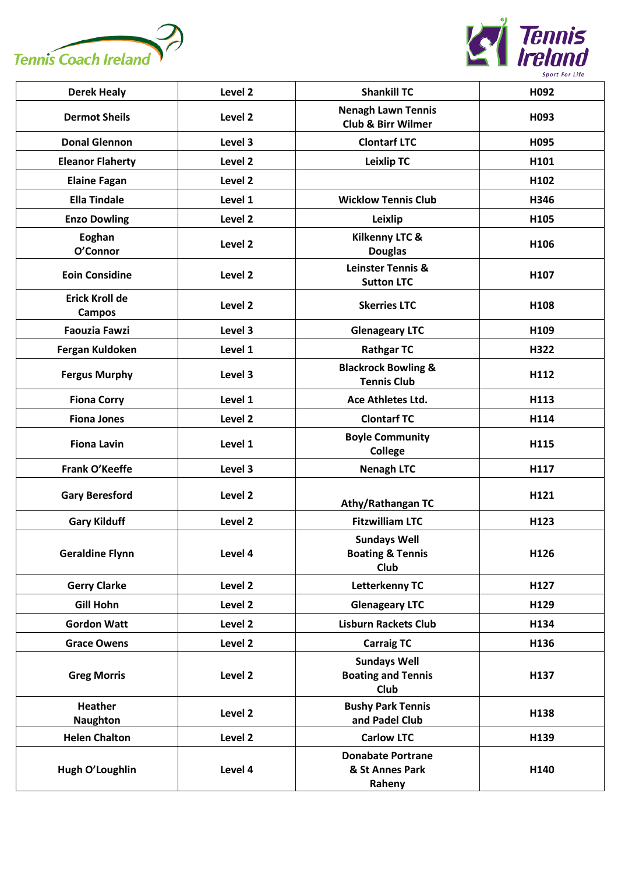



| <b>Derek Healy</b>                     | Level 2 | <b>Shankill TC</b>                                         | H092 |
|----------------------------------------|---------|------------------------------------------------------------|------|
| <b>Dermot Sheils</b>                   | Level 2 | <b>Nenagh Lawn Tennis</b><br><b>Club &amp; Birr Wilmer</b> | H093 |
| <b>Donal Glennon</b>                   | Level 3 | <b>Clontarf LTC</b>                                        | H095 |
| <b>Eleanor Flaherty</b>                | Level 2 | <b>Leixlip TC</b>                                          | H101 |
| <b>Elaine Fagan</b>                    | Level 2 |                                                            | H102 |
| <b>Ella Tindale</b>                    | Level 1 | <b>Wicklow Tennis Club</b>                                 | H346 |
| <b>Enzo Dowling</b>                    | Level 2 | Leixlip                                                    | H105 |
| Eoghan<br>O'Connor                     | Level 2 | Kilkenny LTC &<br><b>Douglas</b>                           | H106 |
| <b>Eoin Considine</b>                  | Level 2 | <b>Leinster Tennis &amp;</b><br><b>Sutton LTC</b>          | H107 |
| <b>Erick Kroll de</b><br><b>Campos</b> | Level 2 | <b>Skerries LTC</b>                                        | H108 |
| <b>Faouzia Fawzi</b>                   | Level 3 | <b>Glenageary LTC</b>                                      | H109 |
| Fergan Kuldoken                        | Level 1 | <b>Rathgar TC</b>                                          | H322 |
| <b>Fergus Murphy</b>                   | Level 3 | <b>Blackrock Bowling &amp;</b><br><b>Tennis Club</b>       | H112 |
| <b>Fiona Corry</b>                     | Level 1 | Ace Athletes Ltd.                                          | H113 |
| <b>Fiona Jones</b>                     | Level 2 | <b>Clontarf TC</b>                                         | H114 |
| <b>Fiona Lavin</b>                     | Level 1 | <b>Boyle Community</b><br><b>College</b>                   | H115 |
| Frank O'Keeffe                         | Level 3 | <b>Nenagh LTC</b>                                          | H117 |
| <b>Gary Beresford</b>                  | Level 2 | Athy/Rathangan TC                                          | H121 |
| <b>Gary Kilduff</b>                    | Level 2 | <b>Fitzwilliam LTC</b>                                     | H123 |
| <b>Geraldine Flynn</b>                 | Level 4 | <b>Sundays Well</b><br><b>Boating &amp; Tennis</b><br>Club | H126 |
| <b>Gerry Clarke</b>                    | Level 2 | <b>Letterkenny TC</b>                                      | H127 |
| <b>Gill Hohn</b>                       | Level 2 | <b>Glenageary LTC</b>                                      | H129 |
| <b>Gordon Watt</b>                     | Level 2 | <b>Lisburn Rackets Club</b>                                | H134 |
| <b>Grace Owens</b>                     | Level 2 | <b>Carraig TC</b>                                          | H136 |
| <b>Greg Morris</b>                     | Level 2 | <b>Sundays Well</b><br><b>Boating and Tennis</b><br>Club   | H137 |
| <b>Heather</b><br><b>Naughton</b>      | Level 2 | <b>Bushy Park Tennis</b><br>and Padel Club                 | H138 |
| <b>Helen Chalton</b>                   | Level 2 | <b>Carlow LTC</b>                                          | H139 |
| Hugh O'Loughlin                        | Level 4 | <b>Donabate Portrane</b><br>& St Annes Park<br>Raheny      | H140 |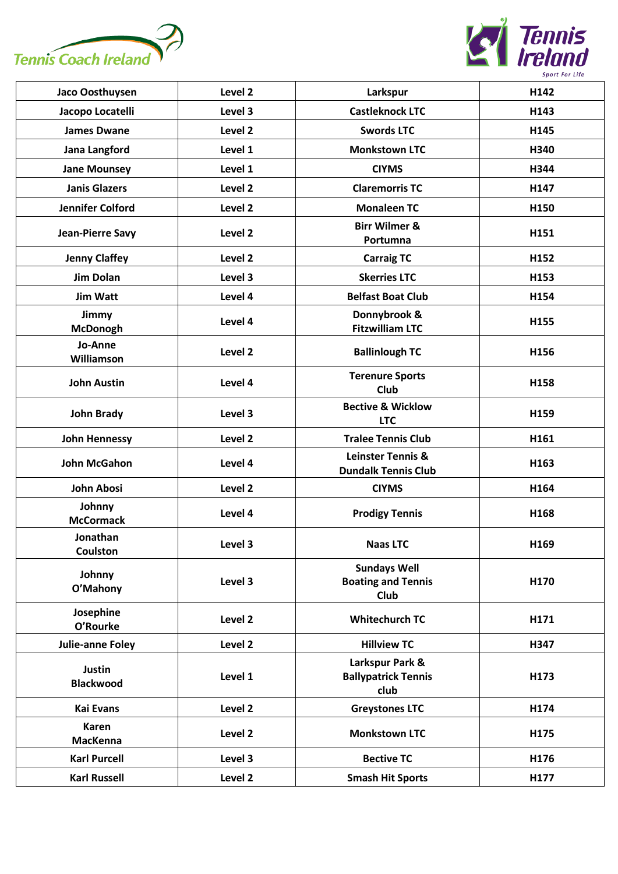



| Jaco Oosthuysen                   | Level 2 | Larkspur                                                        | H142 |
|-----------------------------------|---------|-----------------------------------------------------------------|------|
| Jacopo Locatelli                  | Level 3 | <b>Castleknock LTC</b>                                          | H143 |
| <b>James Dwane</b>                | Level 2 | <b>Swords LTC</b>                                               | H145 |
| Jana Langford                     | Level 1 | <b>Monkstown LTC</b>                                            | H340 |
| <b>Jane Mounsey</b>               | Level 1 | <b>CIYMS</b>                                                    | H344 |
| <b>Janis Glazers</b>              | Level 2 | <b>Claremorris TC</b>                                           | H147 |
| Jennifer Colford                  | Level 2 | <b>Monaleen TC</b>                                              | H150 |
| <b>Jean-Pierre Savy</b>           | Level 2 | <b>Birr Wilmer &amp;</b><br>Portumna                            | H151 |
| <b>Jenny Claffey</b>              | Level 2 | <b>Carraig TC</b>                                               | H152 |
| <b>Jim Dolan</b>                  | Level 3 | <b>Skerries LTC</b>                                             | H153 |
| <b>Jim Watt</b>                   | Level 4 | <b>Belfast Boat Club</b>                                        | H154 |
| Jimmy<br><b>McDonogh</b>          | Level 4 | Donnybrook &<br><b>Fitzwilliam LTC</b>                          | H155 |
| Jo-Anne<br>Williamson             | Level 2 | <b>Ballinlough TC</b>                                           | H156 |
| <b>John Austin</b>                | Level 4 | <b>Terenure Sports</b><br>Club                                  | H158 |
| <b>John Brady</b>                 | Level 3 | <b>Bective &amp; Wicklow</b><br><b>LTC</b>                      | H159 |
| <b>John Hennessy</b>              | Level 2 | <b>Tralee Tennis Club</b>                                       | H161 |
| <b>John McGahon</b>               | Level 4 | Leinster Tennis &<br><b>Dundalk Tennis Club</b>                 | H163 |
| <b>John Abosi</b>                 | Level 2 | <b>CIYMS</b>                                                    | H164 |
| Johnny<br><b>McCormack</b>        | Level 4 | <b>Prodigy Tennis</b>                                           | H168 |
| Jonathan<br>Coulston              | Level 3 | <b>Naas LTC</b>                                                 | H169 |
| Johnny<br>O'Mahony                | Level 3 | <b>Sundays Well</b><br><b>Boating and Tennis</b><br><b>Club</b> | H170 |
| Josephine<br>O'Rourke             | Level 2 | <b>Whitechurch TC</b>                                           | H171 |
| <b>Julie-anne Foley</b>           | Level 2 | <b>Hillview TC</b>                                              | H347 |
| <b>Justin</b><br><b>Blackwood</b> | Level 1 | Larkspur Park &<br><b>Ballypatrick Tennis</b><br>club           | H173 |
| <b>Kai Evans</b>                  | Level 2 | <b>Greystones LTC</b>                                           | H174 |
| <b>Karen</b><br><b>MacKenna</b>   | Level 2 | <b>Monkstown LTC</b>                                            | H175 |
| <b>Karl Purcell</b>               | Level 3 | <b>Bective TC</b>                                               | H176 |
| <b>Karl Russell</b>               | Level 2 | <b>Smash Hit Sports</b>                                         | H177 |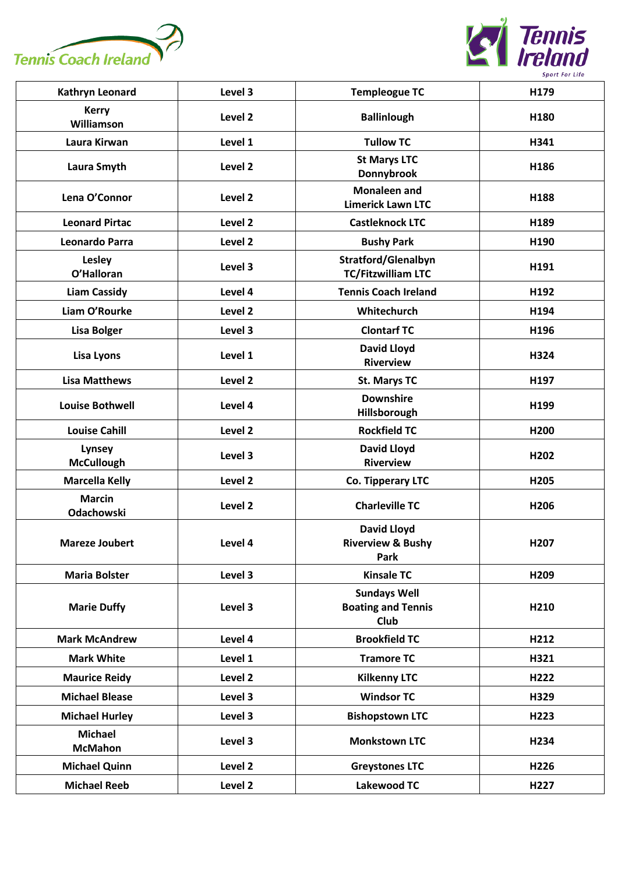



| Kathryn Leonard                  | Level 3 | <b>Templeogue TC</b>                                            | H179             |
|----------------------------------|---------|-----------------------------------------------------------------|------------------|
| <b>Kerry</b><br>Williamson       | Level 2 | <b>Ballinlough</b>                                              | H180             |
| Laura Kirwan                     | Level 1 | <b>Tullow TC</b>                                                | H341             |
| Laura Smyth                      | Level 2 | <b>St Marys LTC</b><br>Donnybrook                               | H186             |
| Lena O'Connor                    | Level 2 | <b>Monaleen and</b><br><b>Limerick Lawn LTC</b>                 | H188             |
| <b>Leonard Pirtac</b>            | Level 2 | <b>Castleknock LTC</b>                                          | H189             |
| Leonardo Parra                   | Level 2 | <b>Bushy Park</b>                                               | H190             |
| <b>Lesley</b><br>O'Halloran      | Level 3 | <b>Stratford/Glenalbyn</b><br><b>TC/Fitzwilliam LTC</b>         | H191             |
| <b>Liam Cassidy</b>              | Level 4 | <b>Tennis Coach Ireland</b>                                     | H192             |
| Liam O'Rourke                    | Level 2 | Whitechurch                                                     | H194             |
| <b>Lisa Bolger</b>               | Level 3 | <b>Clontarf TC</b>                                              | H196             |
| Lisa Lyons                       | Level 1 | <b>David Lloyd</b><br><b>Riverview</b>                          | H324             |
| <b>Lisa Matthews</b>             | Level 2 | <b>St. Marys TC</b>                                             | H197             |
| <b>Louise Bothwell</b>           | Level 4 | <b>Downshire</b><br>Hillsborough                                | H199             |
| <b>Louise Cahill</b>             | Level 2 | <b>Rockfield TC</b>                                             | H200             |
| Lynsey<br><b>McCullough</b>      | Level 3 | <b>David Lloyd</b><br><b>Riverview</b>                          | H202             |
| <b>Marcella Kelly</b>            | Level 2 | Co. Tipperary LTC                                               | H205             |
| <b>Marcin</b><br>Odachowski      | Level 2 | <b>Charleville TC</b>                                           | H <sub>206</sub> |
| <b>Mareze Joubert</b>            | Level 4 | <b>David Lloyd</b><br><b>Riverview &amp; Bushy</b><br>Park      | H207             |
| <b>Maria Bolster</b>             | Level 3 | <b>Kinsale TC</b>                                               | H209             |
| <b>Marie Duffy</b>               | Level 3 | <b>Sundays Well</b><br><b>Boating and Tennis</b><br><b>Club</b> | H210             |
| <b>Mark McAndrew</b>             | Level 4 | <b>Brookfield TC</b>                                            | H212             |
| <b>Mark White</b>                | Level 1 | <b>Tramore TC</b>                                               | H321             |
| <b>Maurice Reidy</b>             | Level 2 | <b>Kilkenny LTC</b>                                             | H222             |
| <b>Michael Blease</b>            | Level 3 | <b>Windsor TC</b>                                               | H329             |
| <b>Michael Hurley</b>            | Level 3 | <b>Bishopstown LTC</b>                                          | H223             |
| <b>Michael</b><br><b>McMahon</b> | Level 3 | <b>Monkstown LTC</b>                                            | H234             |
| <b>Michael Quinn</b>             | Level 2 | <b>Greystones LTC</b>                                           | H226             |
| <b>Michael Reeb</b>              | Level 2 | <b>Lakewood TC</b>                                              | H227             |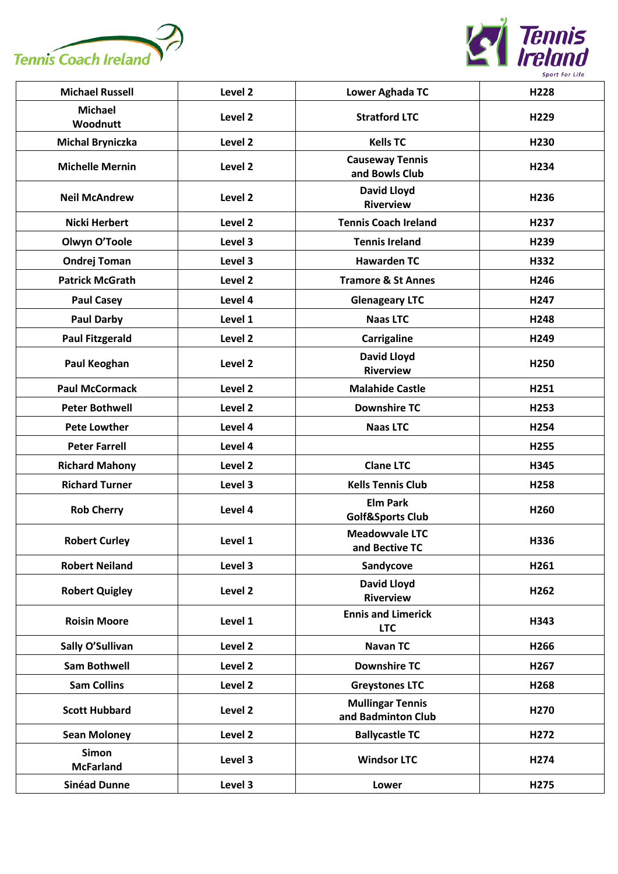



| <b>Michael Russell</b>           | Level 2 | Lower Aghada TC                                | H228             |
|----------------------------------|---------|------------------------------------------------|------------------|
| <b>Michael</b><br>Woodnutt       | Level 2 | <b>Stratford LTC</b>                           | H229             |
| <b>Michal Bryniczka</b>          | Level 2 | <b>Kells TC</b>                                | H230             |
| <b>Michelle Mernin</b>           | Level 2 | <b>Causeway Tennis</b><br>and Bowls Club       | H234             |
| <b>Neil McAndrew</b>             | Level 2 | <b>David Lloyd</b><br><b>Riverview</b>         | H <sub>236</sub> |
| Nicki Herbert                    | Level 2 | <b>Tennis Coach Ireland</b>                    | H <sub>237</sub> |
| Olwyn O'Toole                    | Level 3 | <b>Tennis Ireland</b>                          | H239             |
| <b>Ondrej Toman</b>              | Level 3 | <b>Hawarden TC</b>                             | H332             |
| <b>Patrick McGrath</b>           | Level 2 | <b>Tramore &amp; St Annes</b>                  | H246             |
| <b>Paul Casey</b>                | Level 4 | <b>Glenageary LTC</b>                          | H <sub>247</sub> |
| <b>Paul Darby</b>                | Level 1 | <b>Naas LTC</b>                                | H248             |
| <b>Paul Fitzgerald</b>           | Level 2 | Carrigaline                                    | H249             |
| Paul Keoghan                     | Level 2 | <b>David Lloyd</b><br><b>Riverview</b>         | H <sub>250</sub> |
| <b>Paul McCormack</b>            | Level 2 | <b>Malahide Castle</b>                         | H251             |
| <b>Peter Bothwell</b>            | Level 2 | <b>Downshire TC</b>                            | H253             |
| <b>Pete Lowther</b>              | Level 4 | <b>Naas LTC</b>                                | H254             |
| <b>Peter Farrell</b>             | Level 4 |                                                | H <sub>255</sub> |
| <b>Richard Mahony</b>            | Level 2 | <b>Clane LTC</b>                               | H345             |
| <b>Richard Turner</b>            | Level 3 | <b>Kells Tennis Club</b>                       | H258             |
| <b>Rob Cherry</b>                | Level 4 | <b>Elm Park</b><br><b>Golf&amp;Sports Club</b> | H260             |
| <b>Robert Curley</b>             | Level 1 | <b>Meadowvale LTC</b><br>and Bective TC        | H336             |
| <b>Robert Neiland</b>            | Level 3 | Sandycove                                      | H261             |
| <b>Robert Quigley</b>            | Level 2 | <b>David Lloyd</b><br><b>Riverview</b>         | H262             |
| <b>Roisin Moore</b>              | Level 1 | <b>Ennis and Limerick</b><br><b>LTC</b>        | H343             |
| Sally O'Sullivan                 | Level 2 | <b>Navan TC</b>                                | H266             |
| <b>Sam Bothwell</b>              | Level 2 | <b>Downshire TC</b>                            | H <sub>267</sub> |
| <b>Sam Collins</b>               | Level 2 | <b>Greystones LTC</b>                          | H268             |
| <b>Scott Hubbard</b>             | Level 2 | <b>Mullingar Tennis</b><br>and Badminton Club  | H270             |
| <b>Sean Moloney</b>              | Level 2 | <b>Ballycastle TC</b>                          | H272             |
| <b>Simon</b><br><b>McFarland</b> | Level 3 | <b>Windsor LTC</b>                             | H274             |
| <b>Sinéad Dunne</b>              | Level 3 | Lower                                          | H275             |